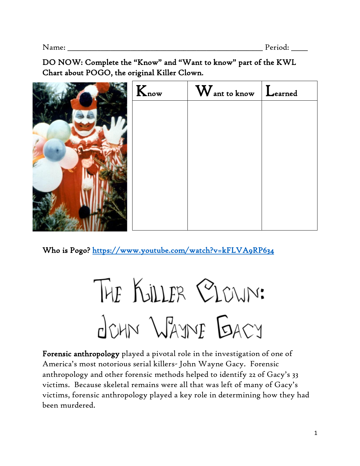DO NOW: Complete the "Know" and "Want to know" part of the KWL Chart about POGO, the original Killer Clown.

| $K_{\text{now}}$ | $\rm W$ ant to know $\rm L$ earned |  |
|------------------|------------------------------------|--|
|                  |                                    |  |
|                  |                                    |  |
|                  |                                    |  |
|                  |                                    |  |
|                  |                                    |  |
|                  |                                    |  |
|                  |                                    |  |

Who is Pogo?<https://www.youtube.com/watch?v=kFLVA9RP634>

THE KULLER CLOWN: JOHN WAYNE BACY

Forensic anthropology played a pivotal role in the investigation of one of America's most notorious serial killers- John Wayne Gacy. Forensic anthropology and other forensic methods helped to identify 22 of Gacy's 33 victims. Because skeletal remains were all that was left of many of Gacy's victims, forensic anthropology played a key role in determining how they had been murdered.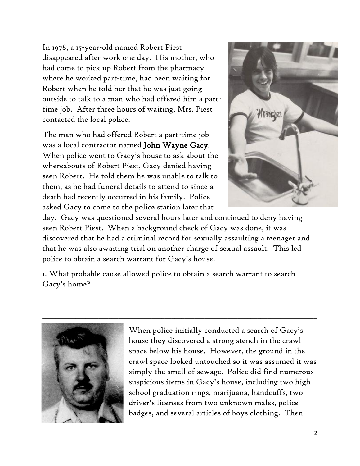In 1978, a 15-year-old named Robert Piest disappeared after work one day. His mother, who had come to pick up Robert from the pharmacy where he worked part-time, had been waiting for Robert when he told her that he was just going outside to talk to a man who had offered him a parttime job. After three hours of waiting, Mrs. Piest contacted the local police.

The man who had offered Robert a part-time job was a local contractor named John Wayne Gacy. When police went to Gacy's house to ask about the whereabouts of Robert Piest, Gacy denied having seen Robert. He told them he was unable to talk to them, as he had funeral details to attend to since a death had recently occurred in his family. Police asked Gacy to come to the police station later that



day. Gacy was questioned several hours later and continued to deny having seen Robert Piest. When a background check of Gacy was done, it was discovered that he had a criminal record for sexually assaulting a teenager and that he was also awaiting trial on another charge of sexual assault. This led police to obtain a search warrant for Gacy's house.

1. What probable cause allowed police to obtain a search warrant to search Gacy's home?

\_\_\_\_\_\_\_\_\_\_\_\_\_\_\_\_\_\_\_\_\_\_\_\_\_\_\_\_\_\_\_\_\_\_\_\_\_\_\_\_\_\_\_\_\_\_\_\_\_\_\_\_\_\_\_\_\_\_\_\_\_\_\_\_\_\_\_\_\_\_\_\_\_\_\_\_\_\_\_\_\_\_\_ \_\_\_\_\_\_\_\_\_\_\_\_\_\_\_\_\_\_\_\_\_\_\_\_\_\_\_\_\_\_\_\_\_\_\_\_\_\_\_\_\_\_\_\_\_\_\_\_\_\_\_\_\_\_\_\_\_\_\_\_\_\_\_\_\_\_\_\_\_\_\_\_\_\_\_\_\_\_\_\_\_\_\_



When police initially conducted a search of Gacy's house they discovered a strong stench in the crawl space below his house. However, the ground in the crawl space looked untouched so it was assumed it was simply the smell of sewage. Police did find numerous suspicious items in Gacy's house, including two high school graduation rings, marijuana, handcuffs, two driver's licenses from two unknown males, police badges, and several articles of boys clothing. Then –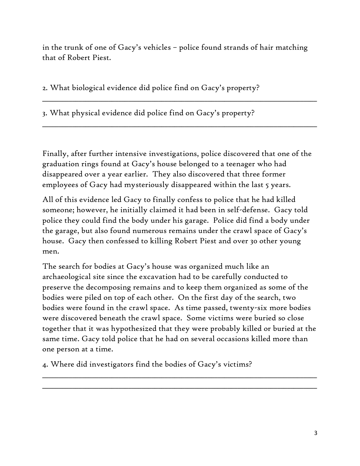in the trunk of one of Gacy's vehicles – police found strands of hair matching that of Robert Piest.

\_\_\_\_\_\_\_\_\_\_\_\_\_\_\_\_\_\_\_\_\_\_\_\_\_\_\_\_\_\_\_\_\_\_\_\_\_\_\_\_\_\_\_\_\_\_\_\_\_\_\_\_\_\_\_\_\_\_\_\_\_\_\_\_\_\_\_\_\_\_\_\_\_\_\_\_\_\_\_\_\_\_\_

\_\_\_\_\_\_\_\_\_\_\_\_\_\_\_\_\_\_\_\_\_\_\_\_\_\_\_\_\_\_\_\_\_\_\_\_\_\_\_\_\_\_\_\_\_\_\_\_\_\_\_\_\_\_\_\_\_\_\_\_\_\_\_\_\_\_\_\_\_\_\_\_\_\_\_\_\_\_\_\_\_\_\_

2. What biological evidence did police find on Gacy's property?

3. What physical evidence did police find on Gacy's property?

Finally, after further intensive investigations, police discovered that one of the graduation rings found at Gacy's house belonged to a teenager who had disappeared over a year earlier. They also discovered that three former employees of Gacy had mysteriously disappeared within the last 5 years.

All of this evidence led Gacy to finally confess to police that he had killed someone; however, he initially claimed it had been in self-defense. Gacy told police they could find the body under his garage. Police did find a body under the garage, but also found numerous remains under the crawl space of Gacy's house. Gacy then confessed to killing Robert Piest and over 30 other young men.

The search for bodies at Gacy's house was organized much like an archaeological site since the excavation had to be carefully conducted to preserve the decomposing remains and to keep them organized as some of the bodies were piled on top of each other. On the first day of the search, two bodies were found in the crawl space. As time passed, twenty-six more bodies were discovered beneath the crawl space. Some victims were buried so close together that it was hypothesized that they were probably killed or buried at the same time. Gacy told police that he had on several occasions killed more than one person at a time.

\_\_\_\_\_\_\_\_\_\_\_\_\_\_\_\_\_\_\_\_\_\_\_\_\_\_\_\_\_\_\_\_\_\_\_\_\_\_\_\_\_\_\_\_\_\_\_\_\_\_\_\_\_\_\_\_\_\_\_\_\_\_\_\_\_\_\_\_\_\_\_\_\_\_\_\_\_\_\_\_\_\_\_ \_\_\_\_\_\_\_\_\_\_\_\_\_\_\_\_\_\_\_\_\_\_\_\_\_\_\_\_\_\_\_\_\_\_\_\_\_\_\_\_\_\_\_\_\_\_\_\_\_\_\_\_\_\_\_\_\_\_\_\_\_\_\_\_\_\_\_\_\_\_\_\_\_\_\_\_\_\_\_\_\_\_\_

4. Where did investigators find the bodies of Gacy's victims?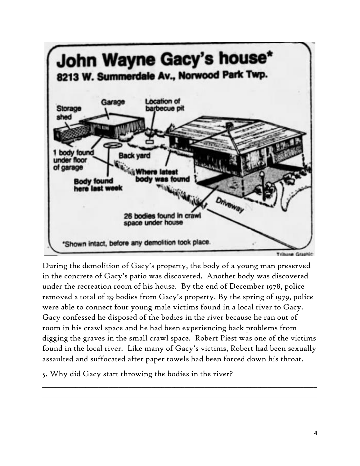

During the demolition of Gacy's property, the body of a young man preserved in the concrete of Gacy's patio was discovered. Another body was discovered under the recreation room of his house. By the end of December 1978, police removed a total of 29 bodies from Gacy's property. By the spring of 1979, police were able to connect four young male victims found in a local river to Gacy. Gacy confessed he disposed of the bodies in the river because he ran out of room in his crawl space and he had been experiencing back problems from digging the graves in the small crawl space. Robert Piest was one of the victims found in the local river. Like many of Gacy's victims, Robert had been sexually assaulted and suffocated after paper towels had been forced down his throat.

\_\_\_\_\_\_\_\_\_\_\_\_\_\_\_\_\_\_\_\_\_\_\_\_\_\_\_\_\_\_\_\_\_\_\_\_\_\_\_\_\_\_\_\_\_\_\_\_\_\_\_\_\_\_\_\_\_\_\_\_\_\_\_\_\_\_\_\_\_\_\_\_\_\_\_\_\_\_\_\_\_\_\_ \_\_\_\_\_\_\_\_\_\_\_\_\_\_\_\_\_\_\_\_\_\_\_\_\_\_\_\_\_\_\_\_\_\_\_\_\_\_\_\_\_\_\_\_\_\_\_\_\_\_\_\_\_\_\_\_\_\_\_\_\_\_\_\_\_\_\_\_\_\_\_\_\_\_\_\_\_\_\_\_\_\_\_

5. Why did Gacy start throwing the bodies in the river?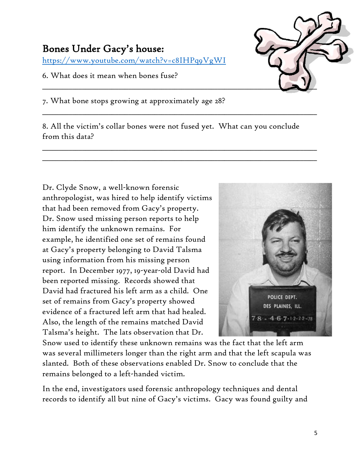## Bones Under Gacy's house:

<https://www.youtube.com/watch?v=c8IHPq9VgWI>

## 6. What does it mean when bones fuse?



7. What bone stops growing at approximately age 28?

8. All the victim's collar bones were not fused yet. What can you conclude from this data?

\_\_\_\_\_\_\_\_\_\_\_\_\_\_\_\_\_\_\_\_\_\_\_\_\_\_\_\_\_\_\_\_\_\_\_\_\_\_\_\_\_\_\_\_\_\_\_\_\_\_\_\_\_\_\_\_\_\_\_\_\_\_\_\_\_\_\_\_\_\_\_\_\_\_\_\_\_\_\_\_\_\_\_

\_\_\_\_\_\_\_\_\_\_\_\_\_\_\_\_\_\_\_\_\_\_\_\_\_\_\_\_\_\_\_\_\_\_\_\_\_\_\_\_\_\_\_\_\_\_\_\_\_\_\_\_\_\_\_\_\_\_\_\_\_\_\_\_\_\_\_\_\_\_\_\_\_\_\_\_\_\_\_\_\_\_\_ \_\_\_\_\_\_\_\_\_\_\_\_\_\_\_\_\_\_\_\_\_\_\_\_\_\_\_\_\_\_\_\_\_\_\_\_\_\_\_\_\_\_\_\_\_\_\_\_\_\_\_\_\_\_\_\_\_\_\_\_\_\_\_\_\_\_\_\_\_\_\_\_\_\_\_\_\_\_\_\_\_\_\_

Dr. Clyde Snow, a well-known forensic anthropologist, was hired to help identify victims that had been removed from Gacy's property. Dr. Snow used missing person reports to help him identify the unknown remains. For example, he identified one set of remains found at Gacy's property belonging to David Talsma using information from his missing person report. In December 1977, 19-year-old David had been reported missing. Records showed that David had fractured his left arm as a child. One set of remains from Gacy's property showed evidence of a fractured left arm that had healed. Also, the length of the remains matched David Talsma's height. The lats observation that Dr.



Snow used to identify these unknown remains was the fact that the left arm was several millimeters longer than the right arm and that the left scapula was slanted. Both of these observations enabled Dr. Snow to conclude that the remains belonged to a left-handed victim.

In the end, investigators used forensic anthropology techniques and dental records to identify all but nine of Gacy's victims. Gacy was found guilty and